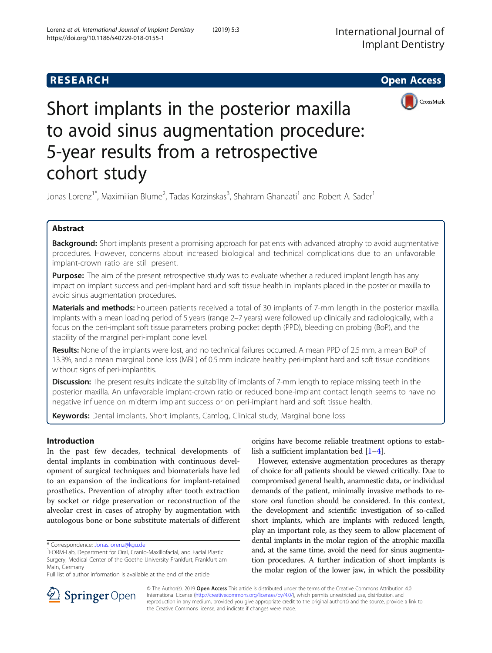

# Short implants in the posterior maxilla to avoid sinus augmentation procedure: 5-year results from a retrospective cohort study

Jonas Lorenz<sup>1\*</sup>, Maximilian Blume<sup>2</sup>, Tadas Korzinskas<sup>3</sup>, Shahram Ghanaati<sup>1</sup> and Robert A. Sader<sup>1</sup>

# Abstract

Background: Short implants present a promising approach for patients with advanced atrophy to avoid augmentative procedures. However, concerns about increased biological and technical complications due to an unfavorable implant-crown ratio are still present.

**Purpose:** The aim of the present retrospective study was to evaluate whether a reduced implant length has any impact on implant success and peri-implant hard and soft tissue health in implants placed in the posterior maxilla to avoid sinus augmentation procedures.

Materials and methods: Fourteen patients received a total of 30 implants of 7-mm length in the posterior maxilla. Implants with a mean loading period of 5 years (range 2–7 years) were followed up clinically and radiologically, with a focus on the peri-implant soft tissue parameters probing pocket depth (PPD), bleeding on probing (BoP), and the stability of the marginal peri-implant bone level.

Results: None of the implants were lost, and no technical failures occurred. A mean PPD of 2.5 mm, a mean BoP of 13.3%, and a mean marginal bone loss (MBL) of 0.5 mm indicate healthy peri-implant hard and soft tissue conditions without signs of peri-implantitis.

**Discussion:** The present results indicate the suitability of implants of 7-mm length to replace missing teeth in the posterior maxilla. An unfavorable implant-crown ratio or reduced bone-implant contact length seems to have no negative influence on midterm implant success or on peri-implant hard and soft tissue health.

Keywords: Dental implants, Short implants, Camlog, Clinical study, Marginal bone loss

## Introduction

In the past few decades, technical developments of dental implants in combination with continuous development of surgical techniques and biomaterials have led to an expansion of the indications for implant-retained prosthetics. Prevention of atrophy after tooth extraction by socket or ridge preservation or reconstruction of the alveolar crest in cases of atrophy by augmentation with autologous bone or bone substitute materials of different

origins have become reliable treatment options to establish a sufficient implantation bed [\[1](#page-6-0)–[4](#page-6-0)].

However, extensive augmentation procedures as therapy of choice for all patients should be viewed critically. Due to compromised general health, anamnestic data, or individual demands of the patient, minimally invasive methods to restore oral function should be considered. In this context, the development and scientific investigation of so-called short implants, which are implants with reduced length, play an important role, as they seem to allow placement of dental implants in the molar region of the atrophic maxilla and, at the same time, avoid the need for sinus augmentation procedures. A further indication of short implants is the molar region of the lower jaw, in which the possibility



© The Author(s). 2019 Open Access This article is distributed under the terms of the Creative Commons Attribution 4.0 International License ([http://creativecommons.org/licenses/by/4.0/\)](http://creativecommons.org/licenses/by/4.0/), which permits unrestricted use, distribution, and reproduction in any medium, provided you give appropriate credit to the original author(s) and the source, provide a link to the Creative Commons license, and indicate if changes were made.

<sup>\*</sup> Correspondence: [Jonas.lorenz@kgu.de](mailto:Jonas.lorenz@kgu.de) <sup>1</sup>

FORM-Lab, Department for Oral, Cranio-Maxillofacial, and Facial Plastic Surgery, Medical Center of the Goethe University Frankfurt, Frankfurt am Main, Germany

Full list of author information is available at the end of the article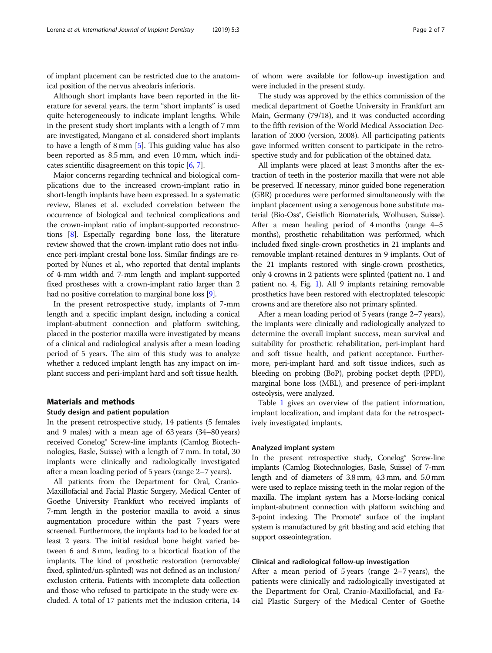of implant placement can be restricted due to the anatomical position of the nervus alveolaris inferioris.

Although short implants have been reported in the literature for several years, the term "short implants" is used quite heterogeneously to indicate implant lengths. While in the present study short implants with a length of 7 mm are investigated, Mangano et al. considered short implants to have a length of 8 mm [\[5](#page-6-0)]. This guiding value has also been reported as 8.5 mm, and even 10 mm, which indicates scientific disagreement on this topic [[6](#page-6-0), [7\]](#page-6-0).

Major concerns regarding technical and biological complications due to the increased crown-implant ratio in short-length implants have been expressed. In a systematic review, Blanes et al. excluded correlation between the occurrence of biological and technical complications and the crown-implant ratio of implant-supported reconstructions [\[8\]](#page-6-0). Especially regarding bone loss, the literature review showed that the crown-implant ratio does not influence peri-implant crestal bone loss. Similar findings are reported by Nunes et al., who reported that dental implants of 4-mm width and 7-mm length and implant-supported fixed prostheses with a crown-implant ratio larger than 2 had no positive correlation to marginal bone loss [\[9](#page-6-0)].

In the present retrospective study, implants of 7-mm length and a specific implant design, including a conical implant-abutment connection and platform switching, placed in the posterior maxilla were investigated by means of a clinical and radiological analysis after a mean loading period of 5 years. The aim of this study was to analyze whether a reduced implant length has any impact on implant success and peri-implant hard and soft tissue health.

#### Materials and methods

#### Study design and patient population

In the present retrospective study, 14 patients (5 females and 9 males) with a mean age of 63 years (34–80 years) received Conelog® Screw-line implants (Camlog Biotechnologies, Basle, Suisse) with a length of 7 mm. In total, 30 implants were clinically and radiologically investigated after a mean loading period of 5 years (range 2–7 years).

All patients from the Department for Oral, Cranio-Maxillofacial and Facial Plastic Surgery, Medical Center of Goethe University Frankfurt who received implants of 7-mm length in the posterior maxilla to avoid a sinus augmentation procedure within the past 7 years were screened. Furthermore, the implants had to be loaded for at least 2 years. The initial residual bone height varied between 6 and 8 mm, leading to a bicortical fixation of the implants. The kind of prosthetic restoration (removable/ fixed, splinted/un-splinted) was not defined as an inclusion/ exclusion criteria. Patients with incomplete data collection and those who refused to participate in the study were excluded. A total of 17 patients met the inclusion criteria, 14

of whom were available for follow-up investigation and were included in the present study.

The study was approved by the ethics commission of the medical department of Goethe University in Frankfurt am Main, Germany (79/18), and it was conducted according to the fifth revision of the World Medical Association Declaration of 2000 (version, 2008). All participating patients gave informed written consent to participate in the retrospective study and for publication of the obtained data.

All implants were placed at least 3 months after the extraction of teeth in the posterior maxilla that were not able be preserved. If necessary, minor guided bone regeneration (GBR) procedures were performed simultaneously with the implant placement using a xenogenous bone substitute material (Bio-Oss®, Geistlich Biomaterials, Wolhusen, Suisse). After a mean healing period of 4 months (range 4–5 months), prosthetic rehabilitation was performed, which included fixed single-crown prosthetics in 21 implants and removable implant-retained dentures in 9 implants. Out of the 21 implants restored with single-crown prosthetics, only 4 crowns in 2 patients were splinted (patient no. 1 and patient no. 4, Fig. [1](#page-2-0)). All 9 implants retaining removable prosthetics have been restored with electroplated telescopic crowns and are therefore also not primary splinted.

After a mean loading period of 5 years (range 2–7 years), the implants were clinically and radiologically analyzed to determine the overall implant success, mean survival and suitability for prosthetic rehabilitation, peri-implant hard and soft tissue health, and patient acceptance. Furthermore, peri-implant hard and soft tissue indices, such as bleeding on probing (BoP), probing pocket depth (PPD), marginal bone loss (MBL), and presence of peri-implant osteolysis, were analyzed.

Table [1](#page-3-0) gives an overview of the patient information, implant localization, and implant data for the retrospectively investigated implants.

#### Analyzed implant system

In the present retrospective study, Conelog® Screw-line implants (Camlog Biotechnologies, Basle, Suisse) of 7-mm length and of diameters of 3.8 mm, 4.3 mm, and 5.0 mm were used to replace missing teeth in the molar region of the maxilla. The implant system has a Morse-locking conical implant-abutment connection with platform switching and 3-point indexing. The Promote® surface of the implant system is manufactured by grit blasting and acid etching that support osseointegration.

## Clinical and radiological follow-up investigation

After a mean period of 5 years (range 2–7 years), the patients were clinically and radiologically investigated at the Department for Oral, Cranio-Maxillofacial, and Facial Plastic Surgery of the Medical Center of Goethe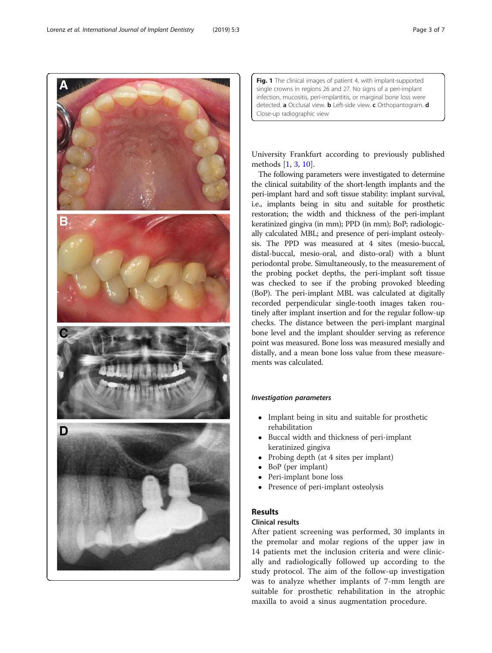Fig. 1 The clinical images of patient 4, with implant-supported single crowns in regions 26 and 27. No signs of a peri-implant infection, mucositis, peri-implantitis, or marginal bone loss were detected. a Occlusal view. **b** Left-side view. c Orthopantogram. d Close-up radiographic view

University Frankfurt according to previously published methods [[1,](#page-6-0) [3,](#page-6-0) [10\]](#page-6-0).

The following parameters were investigated to determine the clinical suitability of the short-length implants and the peri-implant hard and soft tissue stability: implant survival, i.e., implants being in situ and suitable for prosthetic restoration; the width and thickness of the peri-implant keratinized gingiva (in mm); PPD (in mm); BoP; radiologically calculated MBL; and presence of peri-implant osteolysis. The PPD was measured at 4 sites (mesio-buccal, distal-buccal, mesio-oral, and disto-oral) with a blunt periodontal probe. Simultaneously, to the measurement of the probing pocket depths, the peri-implant soft tissue was checked to see if the probing provoked bleeding (BoP). The peri-implant MBL was calculated at digitally recorded perpendicular single-tooth images taken routinely after implant insertion and for the regular follow-up checks. The distance between the peri-implant marginal bone level and the implant shoulder serving as reference point was measured. Bone loss was measured mesially and distally, and a mean bone loss value from these measurements was calculated.

# Investigation parameters

- Implant being in situ and suitable for prosthetic rehabilitation
- Buccal width and thickness of peri-implant keratinized gingiva
- Probing depth (at 4 sites per implant)
- BoP (per implant)
- Peri-implant bone loss
- Presence of peri-implant osteolysis

# Results

# Clinical results

After patient screening was performed, 30 implants in the premolar and molar regions of the upper jaw in 14 patients met the inclusion criteria and were clinically and radiologically followed up according to the study protocol. The aim of the follow-up investigation was to analyze whether implants of 7-mm length are suitable for prosthetic rehabilitation in the atrophic maxilla to avoid a sinus augmentation procedure.



<span id="page-2-0"></span>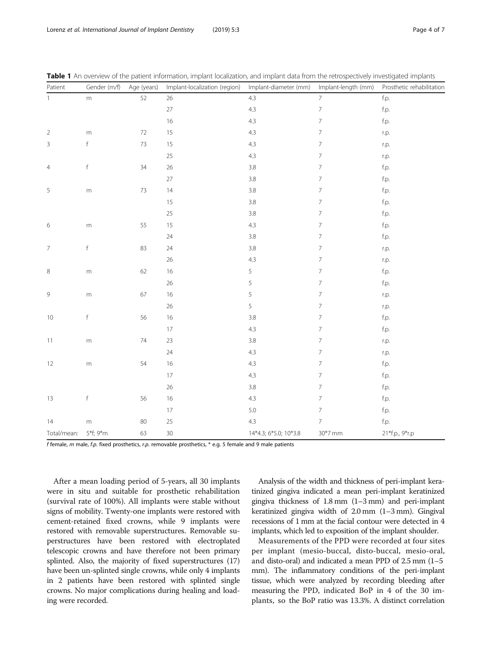| Patient                  | Gender (m/f) | Age (years) | Implant-localization (region) | Implant-diameter (mm)<br>Implant-length (mm) |                          | Prosthetic rehabilitation |  |
|--------------------------|--------------|-------------|-------------------------------|----------------------------------------------|--------------------------|---------------------------|--|
| $\mathbf{1}$             | ${\sf m}$    | 52          | 26                            | 4.3                                          | $\overline{7}$           |                           |  |
|                          |              |             | 27                            | 4.3                                          | $\overline{7}$           | f.p.                      |  |
|                          |              |             | 16                            | 4.3                                          | $\overline{7}$           | f.p.                      |  |
| $\overline{2}$           | m            | $72\,$      | 15                            | 4.3                                          | $\overline{7}$           | r.p.                      |  |
| $\mathsf 3$              | f            | 73          | 15                            | 4.3                                          | $\overline{7}$           | r.p.                      |  |
|                          |              |             | 25                            | 4.3                                          | $\overline{7}$           | r.p.                      |  |
| $\overline{4}$           | $\mathsf f$  | 34          | 26                            | 3.8                                          | $\overline{\phantom{a}}$ | f.p.                      |  |
|                          |              |             | 27                            | 3.8                                          | $\overline{7}$           | f.p.                      |  |
| $\mathsf S$              | $\mathsf{m}$ | $73$        | 14                            | 3.8                                          | $\overline{7}$           | f.p.                      |  |
|                          |              |             | 15                            | 3.8                                          | $\overline{7}$           | f.p.                      |  |
|                          |              |             | 25                            | 3.8                                          | $\overline{7}$           | f.p.                      |  |
| 6                        | m            | 55          | 15                            | 4.3                                          | $\overline{7}$           | f.p.                      |  |
|                          |              |             | 24                            | 3.8                                          | $\overline{7}$           | f.p.                      |  |
| $\overline{\mathcal{I}}$ | $\mathsf f$  | 83          | 24                            | 3.8                                          | $\overline{\phantom{a}}$ | r.p.                      |  |
|                          |              |             | 26                            | 4.3                                          | $\overline{7}$           | r.p.                      |  |
| $\,8\,$                  | $\mathsf{m}$ | 62          | 16                            | 5                                            | $\overline{\phantom{a}}$ | f.p.                      |  |
|                          |              |             | 26                            | 5                                            | $\overline{7}$           | f.p.                      |  |
| 9                        | ${\sf m}$    | 67          | 16                            | 5                                            | $\overline{7}$           | r.p.                      |  |
|                          |              |             | 26                            | 5                                            | $\overline{7}$           | r.p.                      |  |
| 10                       | f            | 56          | 16                            | 3.8                                          | $\overline{7}$           | f.p.                      |  |
|                          |              |             | $17\,$                        | 4.3                                          | $\overline{\mathcal{I}}$ | f.p.                      |  |
| 11                       | m            | 74          | 23                            | 3.8                                          | $\overline{7}$           | r.p.                      |  |
|                          |              |             | 24                            | 4.3                                          | $\overline{7}$           | r.p.                      |  |
| 12                       | m            | 54          | 16                            | 4.3                                          | $\overline{7}$           | f.p.                      |  |
|                          |              |             | $17\,$                        | 4.3                                          | $\overline{7}$           | f.p.                      |  |
|                          |              |             | 26                            | 3.8                                          | $\overline{\phantom{a}}$ | f.p.                      |  |
| 13                       | f            | 56          | 16                            | 4.3                                          | $\overline{7}$           | f.p.                      |  |
|                          |              |             | 17                            | 5.0                                          | $\overline{7}$           | f.p.                      |  |
| 14                       | m            | 80          | 25                            | 4.3                                          | $\overline{7}$           | f.p.                      |  |
| Total/mean:              | 5*f; 9*m     | 63          | $30\,$                        | 14*4.3; 6*5.0; 10*3.8                        | 30*7 mm                  | 21*f.p., 9*r.p            |  |

<span id="page-3-0"></span>Table 1 An overview of the patient information, implant localization, and implant data from the retrospectively investigated implants

f female, m male, f.p. fixed prosthetics, r.p. removable prosthetics,  $*$  e.g. 5 female and 9 male patients

After a mean loading period of 5-years, all 30 implants were in situ and suitable for prosthetic rehabilitation (survival rate of 100%). All implants were stable without signs of mobility. Twenty-one implants were restored with cement-retained fixed crowns, while 9 implants were restored with removable superstructures. Removable superstructures have been restored with electroplated telescopic crowns and have therefore not been primary splinted. Also, the majority of fixed superstructures (17) have been un-splinted single crowns, while only 4 implants in 2 patients have been restored with splinted single crowns. No major complications during healing and loading were recorded.

Analysis of the width and thickness of peri-implant keratinized gingiva indicated a mean peri-implant keratinized gingiva thickness of 1.8 mm (1–3 mm) and peri-implant keratinized gingiva width of 2.0 mm (1–3 mm). Gingival recessions of 1 mm at the facial contour were detected in 4 implants, which led to exposition of the implant shoulder.

Measurements of the PPD were recorded at four sites per implant (mesio-buccal, disto-buccal, mesio-oral, and disto-oral) and indicated a mean PPD of 2.5 mm (1–5 mm). The inflammatory conditions of the peri-implant tissue, which were analyzed by recording bleeding after measuring the PPD, indicated BoP in 4 of the 30 implants, so the BoP ratio was 13.3%. A distinct correlation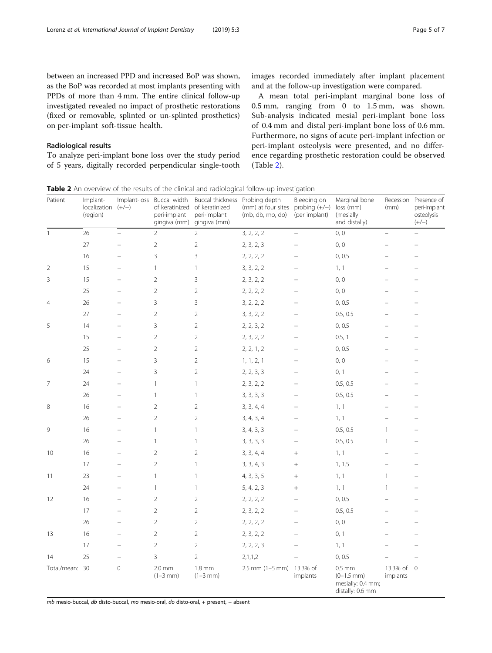between an increased PPD and increased BoP was shown, as the BoP was recorded at most implants presenting with PPDs of more than 4 mm. The entire clinical follow-up investigated revealed no impact of prosthetic restorations (fixed or removable, splinted or un-splinted prosthetics) on per-implant soft-tissue health.

## Radiological results

To analyze peri-implant bone loss over the study period of 5 years, digitally recorded perpendicular single-tooth images recorded immediately after implant placement and at the follow-up investigation were compared.

A mean total peri-implant marginal bone loss of 0.5 mm, ranging from 0 to 1.5 mm, was shown. Sub-analysis indicated mesial peri-implant bone loss of 0.4 mm and distal peri-implant bone loss of 0.6 mm. Furthermore, no signs of acute peri-implant infection or peri-implant osteolysis were presented, and no difference regarding prosthetic restoration could be observed (Table 2).

Table 2 An overview of the results of the clinical and radiological follow-up investigation

| Patient        | Implant-<br>localization $(+/-)$<br>(region) |                          | Implant-loss Buccal width<br>of keratinized<br>peri-implant<br>gingiva (mm) | Buccal thickness<br>of keratinized<br>peri-implant<br>gingiva (mm) | Probing depth<br>(mm) at four sites probing $(+/-)$<br>(mb, db, mo, do) | Bleeding on<br>(per implant) | Marginal bone<br>loss (mm)<br>(mesially<br>and distally)             | Recession<br>(mm)      | Presence of<br>peri-implant<br>osteolysis<br>$(+/-)$ |
|----------------|----------------------------------------------|--------------------------|-----------------------------------------------------------------------------|--------------------------------------------------------------------|-------------------------------------------------------------------------|------------------------------|----------------------------------------------------------------------|------------------------|------------------------------------------------------|
| $\mathbf{1}$   | 26                                           | $\overline{\phantom{0}}$ | $\overline{2}$                                                              | $\overline{2}$                                                     | 3, 2, 2, 2                                                              | $\overline{\phantom{0}}$     | 0, 0                                                                 | $\equiv$               |                                                      |
|                | 27                                           |                          | $\overline{2}$                                                              | $\sqrt{2}$                                                         | 2, 3, 2, 3                                                              |                              | 0, 0                                                                 |                        |                                                      |
|                | 16                                           | $\equiv$                 | 3                                                                           | 3                                                                  | 2, 2, 2, 2                                                              | $\overline{\phantom{0}}$     | 0, 0.5                                                               | L.                     | $\overline{a}$                                       |
| $\overline{2}$ | 15                                           | $\overline{a}$           | $\mathbf{1}$                                                                | $\mathbf{1}$                                                       | 3, 3, 2, 2                                                              | $\overline{\phantom{0}}$     | 1, 1                                                                 | -                      | $\overline{\phantom{0}}$                             |
| $\mathsf 3$    | 15                                           | $\overline{\phantom{0}}$ | $\overline{2}$                                                              | 3                                                                  | 2, 3, 2, 2                                                              |                              | 0, 0                                                                 | L                      | $\overline{\phantom{0}}$                             |
|                | 25                                           |                          | $\sqrt{2}$                                                                  | $\sqrt{2}$                                                         | 2, 2, 2, 2                                                              |                              | 0, 0                                                                 |                        | $\overline{\phantom{0}}$                             |
| 4              | 26                                           | $\overline{\phantom{0}}$ | 3                                                                           | 3                                                                  | 3, 2, 2, 2                                                              |                              | 0, 0.5                                                               | $\overline{a}$         | $\overline{\phantom{0}}$                             |
|                | 27                                           | $\overline{\phantom{0}}$ | $\overline{2}$                                                              | $\sqrt{2}$                                                         | 3, 3, 2, 2                                                              |                              | 0.5, 0.5                                                             |                        | $\overline{\phantom{0}}$                             |
| 5              | 14                                           | $\overline{\phantom{0}}$ | $\mathsf 3$                                                                 | $\sqrt{2}$                                                         | 2, 2, 3, 2                                                              |                              | 0, 0.5                                                               |                        | $\overline{\phantom{0}}$                             |
|                | 15                                           |                          | $\sqrt{2}$                                                                  | $\sqrt{2}$                                                         | 2, 3, 2, 2                                                              |                              | 0.5, 1                                                               |                        |                                                      |
|                | 25                                           |                          | $\sqrt{2}$                                                                  | $\overline{2}$                                                     | 2, 2, 1, 2                                                              |                              | 0, 0.5                                                               |                        | $\overline{\phantom{0}}$                             |
| 6              | 15                                           |                          | $\mathsf 3$                                                                 | $\sqrt{2}$                                                         | 1, 1, 2, 1                                                              |                              | 0, 0                                                                 |                        |                                                      |
|                | 24                                           |                          | 3                                                                           | $\sqrt{2}$                                                         | 2, 2, 3, 3                                                              |                              | 0, 1                                                                 |                        |                                                      |
| 7              | 24                                           | $\equiv$                 | $\mathbf{1}$                                                                | $\mathbf{1}$                                                       | 2, 3, 2, 2                                                              |                              | 0.5, 0.5                                                             | $\overline{a}$         | $\overline{\phantom{0}}$                             |
|                | 26                                           | $\overline{a}$           | $\mathbf{1}$                                                                | $\mathbf{1}$                                                       | 3, 3, 3, 3                                                              | $\overline{\phantom{0}}$     | 0.5, 0.5                                                             | $\overline{a}$         | $\overline{\phantom{0}}$                             |
| 8              | 16                                           | $\overline{a}$           | $\overline{2}$                                                              | $\overline{2}$                                                     | 3, 3, 4, 4                                                              | $\overline{\phantom{a}}$     | 1, 1                                                                 | $\overline{a}$         | $\overline{\phantom{0}}$                             |
|                | 26                                           |                          | $\overline{2}$                                                              | $\sqrt{2}$                                                         | 3, 4, 3, 4                                                              | $\overline{a}$               | 1, 1                                                                 | $\overline{a}$         | $\overline{\phantom{0}}$                             |
| 9              | 16                                           | $\equiv$                 | $\mathbf{1}$                                                                | $\mathbf{1}$                                                       | 3, 4, 3, 3                                                              | $\overline{\phantom{0}}$     | 0.5, 0.5                                                             | $\mathbf{1}$           | $\overline{\phantom{0}}$                             |
|                | 26                                           | $\overline{\phantom{0}}$ | $\mathbf{1}$                                                                | $\mathbf{1}$                                                       | 3, 3, 3, 3                                                              | $\qquad \qquad -$            | 0.5, 0.5                                                             | $\mathbf{1}$           | $\overline{\phantom{0}}$                             |
| 10             | 16                                           |                          | $\overline{2}$                                                              | $\overline{2}$                                                     | 3, 3, 4, 4                                                              |                              | 1, 1                                                                 |                        |                                                      |
|                | 17                                           |                          | $\overline{2}$                                                              | $\mathbf{1}$                                                       | 3, 3, 4, 3                                                              | $+$                          | 1, 1.5                                                               | $\overline{a}$         |                                                      |
| 11             | 23                                           |                          | $\mathbf{1}$                                                                | $\mathbf{1}$                                                       | 4, 3, 3, 5                                                              |                              | 1, 1                                                                 | $\mathbf{1}$           |                                                      |
|                | 24                                           | $\overline{\phantom{0}}$ | $\mathbf{1}$                                                                | $\mathbf{1}$                                                       | 5, 4, 2, 3                                                              | $+$                          | 1, 1                                                                 | $\mathbf{1}$           | $\overline{\phantom{0}}$                             |
| 12             | 16                                           | $\overline{\phantom{0}}$ | $\sqrt{2}$                                                                  | $\sqrt{2}$                                                         | 2, 2, 2, 2                                                              |                              | 0, 0.5                                                               | -                      | $\overline{\phantom{0}}$                             |
|                | 17                                           |                          | $\sqrt{2}$                                                                  | $\sqrt{2}$                                                         | 2, 3, 2, 2                                                              |                              | 0.5, 0.5                                                             |                        |                                                      |
|                | 26                                           |                          | $\sqrt{2}$                                                                  | $\sqrt{2}$                                                         | 2, 2, 2, 2                                                              |                              | 0, 0                                                                 |                        |                                                      |
| 13             | 16                                           |                          | $\overline{2}$                                                              | $\sqrt{2}$                                                         | 2, 3, 2, 2                                                              |                              | 0, 1                                                                 |                        |                                                      |
|                | 17                                           | $\overline{a}$           | $\overline{2}$                                                              | $\sqrt{2}$                                                         | 2, 2, 2, 3                                                              | $\overline{\phantom{0}}$     | 1, 1                                                                 |                        |                                                      |
| 14             | 25                                           | $\equiv$                 | 3                                                                           | $\overline{2}$                                                     | 2,1,1,2                                                                 | $\equiv$                     | 0, 0.5                                                               |                        | $\overline{\phantom{0}}$                             |
| Total/mean: 30 |                                              | $\mathbf 0$              | 2.0 <sub>mm</sub><br>$(1-3 mm)$                                             | $1.8 \, \text{mm}$<br>$(1-3 mm)$                                   | 2.5 mm (1-5 mm) 13.3% of                                                | implants                     | $0.5$ mm<br>$(0-1.5$ mm $)$<br>mesially: 0.4 mm;<br>distally: 0.6 mm | 13.3% of 0<br>implants |                                                      |

mb mesio-buccal, db disto-buccal, mo mesio-oral, do disto-oral, + present, − absent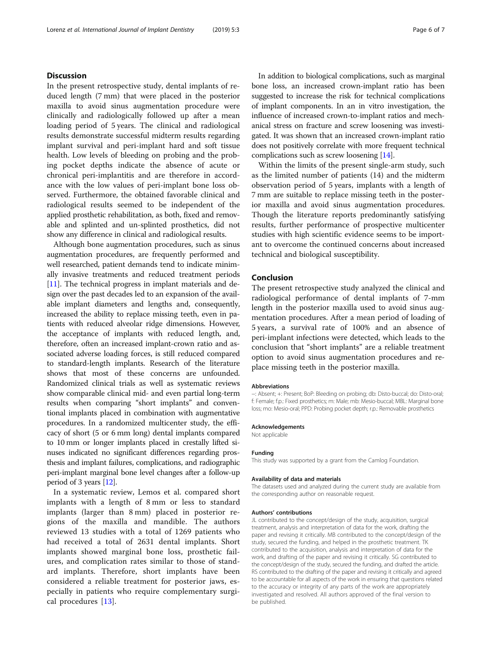## **Discussion**

In the present retrospective study, dental implants of reduced length (7 mm) that were placed in the posterior maxilla to avoid sinus augmentation procedure were clinically and radiologically followed up after a mean loading period of 5 years. The clinical and radiological results demonstrate successful midterm results regarding implant survival and peri-implant hard and soft tissue health. Low levels of bleeding on probing and the probing pocket depths indicate the absence of acute or chronical peri-implantitis and are therefore in accordance with the low values of peri-implant bone loss observed. Furthermore, the obtained favorable clinical and radiological results seemed to be independent of the applied prosthetic rehabilitation, as both, fixed and removable and splinted and un-splinted prosthetics, did not show any difference in clinical and radiological results.

Although bone augmentation procedures, such as sinus augmentation procedures, are frequently performed and well researched, patient demands tend to indicate minimally invasive treatments and reduced treatment periods [[11](#page-6-0)]. The technical progress in implant materials and design over the past decades led to an expansion of the available implant diameters and lengths and, consequently, increased the ability to replace missing teeth, even in patients with reduced alveolar ridge dimensions. However, the acceptance of implants with reduced length, and, therefore, often an increased implant-crown ratio and associated adverse loading forces, is still reduced compared to standard-length implants. Research of the literature shows that most of these concerns are unfounded. Randomized clinical trials as well as systematic reviews show comparable clinical mid- and even partial long-term results when comparing "short implants" and conventional implants placed in combination with augmentative procedures. In a randomized multicenter study, the efficacy of short (5 or 6 mm long) dental implants compared to 10 mm or longer implants placed in crestally lifted sinuses indicated no significant differences regarding prosthesis and implant failures, complications, and radiographic peri-implant marginal bone level changes after a follow-up period of 3 years [\[12\]](#page-6-0).

In a systematic review, Lemos et al. compared short implants with a length of 8 mm or less to standard implants (larger than 8 mm) placed in posterior regions of the maxilla and mandible. The authors reviewed 13 studies with a total of 1269 patients who had received a total of 2631 dental implants. Short implants showed marginal bone loss, prosthetic failures, and complication rates similar to those of standard implants. Therefore, short implants have been considered a reliable treatment for posterior jaws, especially in patients who require complementary surgical procedures [[13](#page-6-0)].

In addition to biological complications, such as marginal bone loss, an increased crown-implant ratio has been suggested to increase the risk for technical complications of implant components. In an in vitro investigation, the influence of increased crown-to-implant ratios and mechanical stress on fracture and screw loosening was investigated. It was shown that an increased crown-implant ratio does not positively correlate with more frequent technical complications such as screw loosening [\[14\]](#page-6-0).

Within the limits of the present single-arm study, such as the limited number of patients (14) and the midterm observation period of 5 years, implants with a length of 7 mm are suitable to replace missing teeth in the posterior maxilla and avoid sinus augmentation procedures. Though the literature reports predominantly satisfying results, further performance of prospective multicenter studies with high scientific evidence seems to be important to overcome the continued concerns about increased technical and biological susceptibility.

### Conclusion

The present retrospective study analyzed the clinical and radiological performance of dental implants of 7-mm length in the posterior maxilla used to avoid sinus augmentation procedures. After a mean period of loading of 5 years, a survival rate of 100% and an absence of peri-implant infections were detected, which leads to the conclusion that "short implants" are a reliable treatment option to avoid sinus augmentation procedures and replace missing teeth in the posterior maxilla.

#### Abbreviations

−: Absent; +: Present; BoP: Bleeding on probing; db: Disto-buccal; do: Disto-oral; f: Female; f.p.: Fixed prosthetics; m: Male; mb: Mesio-buccal; MBL: Marginal bone loss; mo: Mesio-oral; PPD: Probing pocket depth; r.p.: Removable prosthetics

#### Acknowledgements

Not applicable

#### Funding

This study was supported by a grant from the Camlog Foundation.

#### Availability of data and materials

The datasets used and analyzed during the current study are available from the corresponding author on reasonable request.

#### Authors' contributions

JL contributed to the concept/design of the study, acquisition, surgical treatment, analysis and interpretation of data for the work, drafting the paper and revising it critically. MB contributed to the concept/design of the study, secured the funding, and helped in the prosthetic treatment. TK contributed to the acquisition, analysis and interpretation of data for the work, and drafting of the paper and revising it critically. SG contributed to the concept/design of the study, secured the funding, and drafted the article. RS contributed to the drafting of the paper and revising it critically and agreed to be accountable for all aspects of the work in ensuring that questions related to the accuracy or integrity of any parts of the work are appropriately investigated and resolved. All authors approved of the final version to be published.